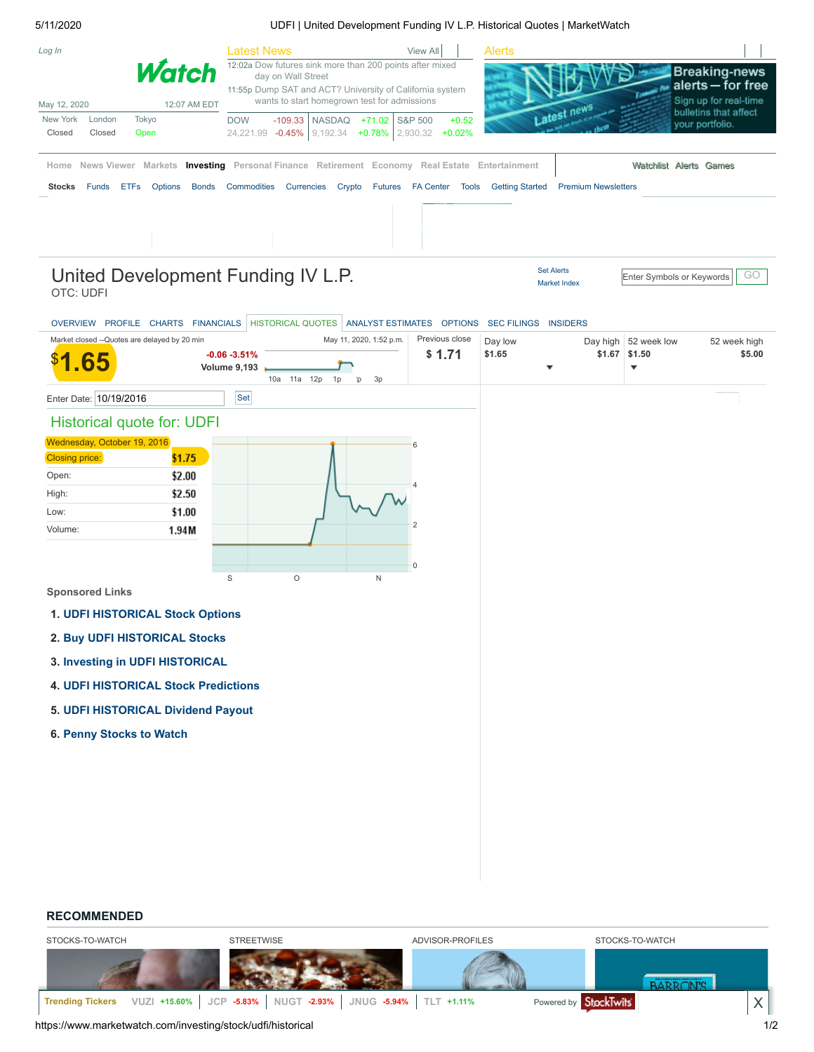#### 5/11/2020 UDFI | United Development Funding IV L.P. Historical Quotes | MarketWatch

| Log In        |        |                                                                                                         | Latest News                                                                                                                                |                                   | View All     | <b>Alerts</b>          |                            |                                                |
|---------------|--------|---------------------------------------------------------------------------------------------------------|--------------------------------------------------------------------------------------------------------------------------------------------|-----------------------------------|--------------|------------------------|----------------------------|------------------------------------------------|
|               |        | <b>Watch</b>                                                                                            | 12:02a Dow futures sink more than 200 points after mixed<br>day on Wall Street<br>11:55p Dump SAT and ACT? University of California system |                                   |              |                        |                            | <b>Breaking-news</b><br>alerts - for free      |
| May 12, 2020  |        | 12:07 AM EDT                                                                                            | wants to start homegrown test for admissions                                                                                               |                                   |              |                        | otest news                 | Sign up for real-time<br>bulletins that affect |
| New York      | London | Tokyo                                                                                                   | <b>DOW</b>                                                                                                                                 | -109.33   NASDAQ +71.02   S&P 500 | $+0.52$      |                        |                            | your portfolio.                                |
| Closed        | Closed | Open                                                                                                    | 24,221.99 -0.45% 9,192.34 +0.78% 2,930.32 +0.02%                                                                                           |                                   |              |                        |                            |                                                |
|               |        | Home News Viewer Markets <b>Investing</b> Personal Finance Retirement Economy Real Estate Entertainment |                                                                                                                                            |                                   |              |                        |                            | Watchlist Alerts Games                         |
| <b>Stocks</b> | Funds  | <b>ETFs</b><br>Options<br><b>Bonds</b>                                                                  | Commodities<br><b>Currencies</b>                                                                                                           | Crypto Futures FA Center          | <b>Tools</b> | <b>Getting Started</b> | <b>Premium Newsletters</b> |                                                |
|               |        |                                                                                                         |                                                                                                                                            |                                   |              |                        |                            |                                                |

## OTC: UDFI United Development Funding IV L.P.

Set [Alerts](https://www.marketwatch.com/tools/alerts/createalert.asp) [Market](https://www.marketwatch.com/tools/markets) Index

Enter Symbols or Keywords | GO

## [OVERVIEW](https://www.marketwatch.com/investing/stock/udfi) [PROFILE](https://www.marketwatch.com/investing/stock/udfi/profile) [CHARTS](https://www.marketwatch.com/investing/stock/udfi/charts) [FINANCIALS](https://www.marketwatch.com/investing/stock/udfi/financials) [HISTORICAL](https://www.marketwatch.com/investing/stock/udfi/historical) QUOTES ANALYST [ESTIMATES](https://www.marketwatch.com/investing/stock/udfi/analystestimates) [OPTIONS](https://www.marketwatch.com/investing/stock/udfi/options) SEC [FILINGS](https://www.marketwatch.com/investing/stock/udfi/secfilings) [INSIDERS](https://www.marketwatch.com/investing/stock/udfi/insideractions)

| Market closed -- Quotes are delayed by 20 min<br>65 | $-0.06 - 3.51%$<br><b>Volume 9,193</b>      | 10a  11a  12p<br>1p | May 11, 2020, 1:52 p.m.<br>3p<br>$\mathsf{p}$ | Previous close<br>\$1.71 | Day low<br>\$1.65 | ▼ | Day high 52 week low<br>$$1.67$ \$1.50<br>▼ | 52 week high<br>\$5.00 |
|-----------------------------------------------------|---------------------------------------------|---------------------|-----------------------------------------------|--------------------------|-------------------|---|---------------------------------------------|------------------------|
| Enter Date: 10/19/2016                              | Set                                         |                     |                                               |                          |                   |   |                                             |                        |
| <b>Historical quote for: UDFI</b>                   |                                             |                     |                                               |                          |                   |   |                                             |                        |
| Wednesday, October 19, 2016                         |                                             |                     |                                               | 6                        |                   |   |                                             |                        |
| <b>Closing price:</b>                               | \$1.75                                      |                     |                                               |                          |                   |   |                                             |                        |
| Open:                                               | \$2.00                                      |                     |                                               |                          |                   |   |                                             |                        |
| High:<br>Low:                                       | \$2.50<br>\$1.00                            |                     |                                               |                          |                   |   |                                             |                        |
| Volume:                                             | 1.94M                                       |                     |                                               | $\overline{2}$           |                   |   |                                             |                        |
|                                                     |                                             |                     |                                               |                          |                   |   |                                             |                        |
|                                                     |                                             |                     |                                               | 0                        |                   |   |                                             |                        |
| <b>Sponsored Links</b>                              | S                                           | $\circ$             | $\sf N$                                       |                          |                   |   |                                             |                        |
|                                                     | 1. UDFI HISTORICAL Stock Options            |                     |                                               |                          |                   |   |                                             |                        |
| 2. Buy UDFI HISTORICAL Stocks                       |                                             |                     |                                               |                          |                   |   |                                             |                        |
| 3. Investing in UDFI HISTORICAL                     |                                             |                     |                                               |                          |                   |   |                                             |                        |
|                                                     | <b>4. UDFI HISTORICAL Stock Predictions</b> |                     |                                               |                          |                   |   |                                             |                        |
|                                                     | 5. UDFI HISTORICAL Dividend Payout          |                     |                                               |                          |                   |   |                                             |                        |
| 6. Penny Stocks to Watch                            |                                             |                     |                                               |                          |                   |   |                                             |                        |
|                                                     |                                             |                     |                                               |                          |                   |   |                                             |                        |
|                                                     |                                             |                     |                                               |                          |                   |   |                                             |                        |
|                                                     |                                             |                     |                                               |                          |                   |   |                                             |                        |
|                                                     |                                             |                     |                                               |                          |                   |   |                                             |                        |
|                                                     |                                             |                     |                                               |                          |                   |   |                                             |                        |
|                                                     |                                             |                     |                                               |                          |                   |   |                                             |                        |
|                                                     |                                             |                     |                                               |                          |                   |   |                                             |                        |

#### **RECOMMENDED**